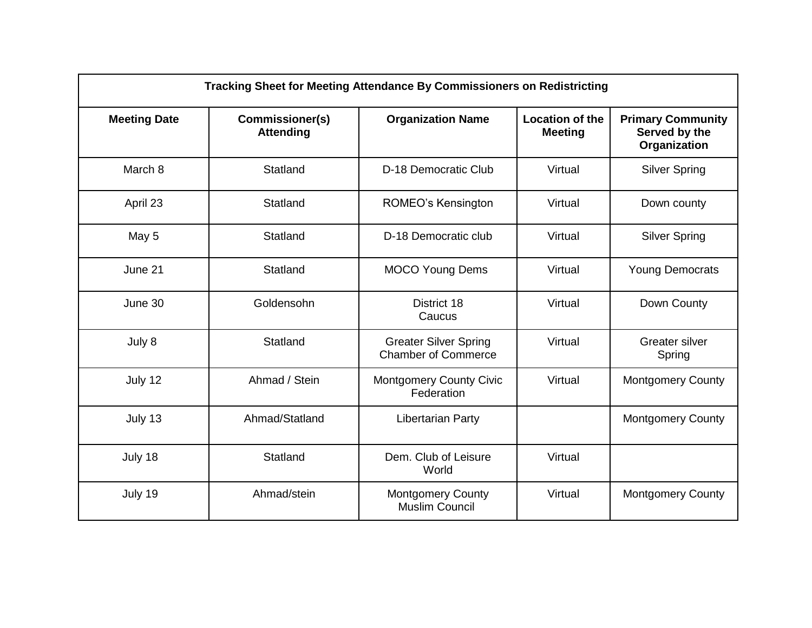| Tracking Sheet for Meeting Attendance By Commissioners on Redistricting |                                            |                                                            |                                          |                                                           |
|-------------------------------------------------------------------------|--------------------------------------------|------------------------------------------------------------|------------------------------------------|-----------------------------------------------------------|
| <b>Meeting Date</b>                                                     | <b>Commissioner(s)</b><br><b>Attending</b> | <b>Organization Name</b>                                   | <b>Location of the</b><br><b>Meeting</b> | <b>Primary Community</b><br>Served by the<br>Organization |
| March 8                                                                 | Statland                                   | D-18 Democratic Club                                       | Virtual                                  | <b>Silver Spring</b>                                      |
| April 23                                                                | Statland                                   | <b>ROMEO's Kensington</b>                                  | Virtual                                  | Down county                                               |
| May 5                                                                   | Statland                                   | D-18 Democratic club                                       | Virtual                                  | <b>Silver Spring</b>                                      |
| June 21                                                                 | Statland                                   | <b>MOCO Young Dems</b>                                     | Virtual                                  | <b>Young Democrats</b>                                    |
| June 30                                                                 | Goldensohn                                 | District 18<br>Caucus                                      | Virtual                                  | Down County                                               |
| July 8                                                                  | Statland                                   | <b>Greater Silver Spring</b><br><b>Chamber of Commerce</b> | Virtual                                  | <b>Greater silver</b><br>Spring                           |
| July 12                                                                 | Ahmad / Stein                              | <b>Montgomery County Civic</b><br>Federation               | Virtual                                  | <b>Montgomery County</b>                                  |
| July 13                                                                 | Ahmad/Statland                             | <b>Libertarian Party</b>                                   |                                          | <b>Montgomery County</b>                                  |
| July 18                                                                 | Statland                                   | Dem. Club of Leisure<br>World                              | Virtual                                  |                                                           |
| July 19                                                                 | Ahmad/stein                                | <b>Montgomery County</b><br><b>Muslim Council</b>          | Virtual                                  | <b>Montgomery County</b>                                  |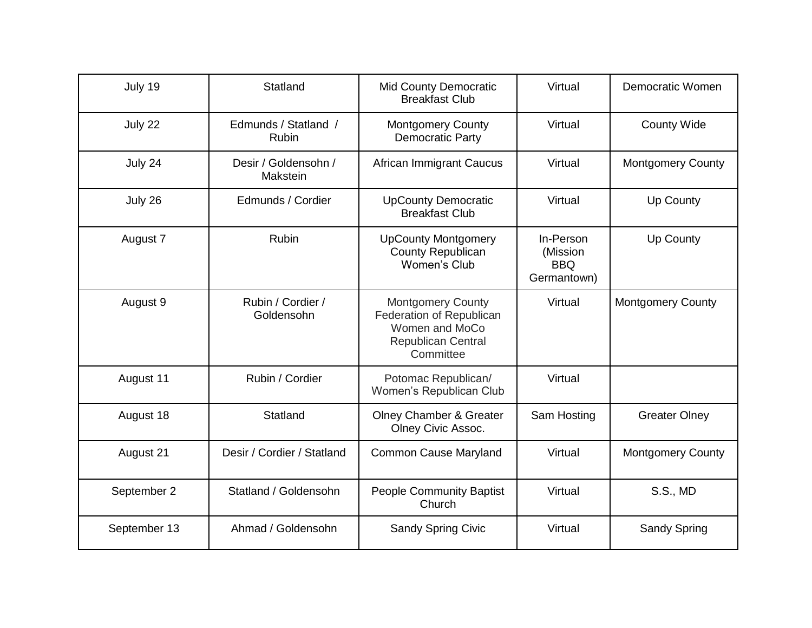| July 19      | Statland                             | <b>Mid County Democratic</b><br><b>Breakfast Club</b>                                              | Virtual                                            | Democratic Women         |
|--------------|--------------------------------------|----------------------------------------------------------------------------------------------------|----------------------------------------------------|--------------------------|
| July 22      | Edmunds / Statland /<br><b>Rubin</b> | <b>Montgomery County</b><br><b>Democratic Party</b>                                                | Virtual                                            | <b>County Wide</b>       |
| July 24      | Desir / Goldensohn /<br>Makstein     | African Immigrant Caucus                                                                           | Virtual                                            | <b>Montgomery County</b> |
| July 26      | Edmunds / Cordier                    | <b>UpCounty Democratic</b><br><b>Breakfast Club</b>                                                | Virtual                                            | Up County                |
| August 7     | <b>Rubin</b>                         | <b>UpCounty Montgomery</b><br><b>County Republican</b><br><b>Women's Club</b>                      | In-Person<br>(Mission<br><b>BBQ</b><br>Germantown) | Up County                |
| August 9     | Rubin / Cordier /<br>Goldensohn      | Montgomery County<br>Federation of Republican<br>Women and MoCo<br>Republican Central<br>Committee | Virtual                                            | <b>Montgomery County</b> |
| August 11    | Rubin / Cordier                      | Potomac Republican/<br>Women's Republican Club                                                     | Virtual                                            |                          |
| August 18    | Statland                             | <b>Olney Chamber &amp; Greater</b><br>Olney Civic Assoc.                                           | Sam Hosting                                        | <b>Greater Olney</b>     |
| August 21    | Desir / Cordier / Statland           | <b>Common Cause Maryland</b>                                                                       | Virtual                                            | <b>Montgomery County</b> |
| September 2  | Statland / Goldensohn                | <b>People Community Baptist</b><br>Church                                                          | Virtual                                            | <b>S.S., MD</b>          |
| September 13 | Ahmad / Goldensohn                   | <b>Sandy Spring Civic</b>                                                                          | Virtual                                            | Sandy Spring             |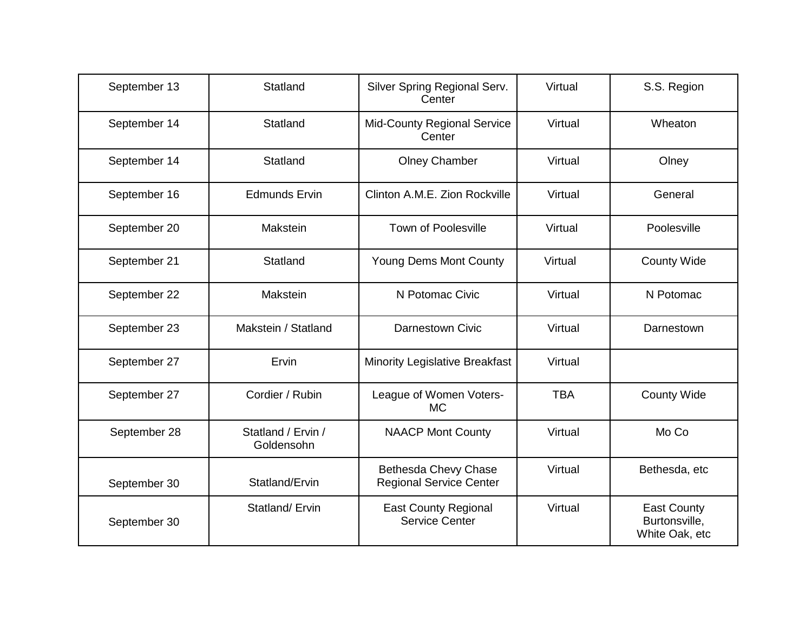| September 13 | Statland                         | Silver Spring Regional Serv.<br>Center                 | Virtual    | S.S. Region                                           |
|--------------|----------------------------------|--------------------------------------------------------|------------|-------------------------------------------------------|
| September 14 | Statland                         | Mid-County Regional Service<br>Center                  | Virtual    | Wheaton                                               |
| September 14 | Statland                         | <b>Olney Chamber</b>                                   | Virtual    | Olney                                                 |
| September 16 | <b>Edmunds Ervin</b>             | Clinton A.M.E. Zion Rockville                          | Virtual    | General                                               |
| September 20 | Makstein                         | <b>Town of Poolesville</b>                             | Virtual    | Poolesville                                           |
| September 21 | Statland                         | Young Dems Mont County                                 | Virtual    | <b>County Wide</b>                                    |
| September 22 | Makstein                         | N Potomac Civic                                        | Virtual    | N Potomac                                             |
| September 23 | Makstein / Statland              | <b>Darnestown Civic</b>                                | Virtual    | Darnestown                                            |
| September 27 | Ervin                            | <b>Minority Legislative Breakfast</b>                  | Virtual    |                                                       |
| September 27 | Cordier / Rubin                  | League of Women Voters-<br>MC.                         | <b>TBA</b> | <b>County Wide</b>                                    |
| September 28 | Statland / Ervin /<br>Goldensohn | <b>NAACP Mont County</b>                               | Virtual    | Mo Co                                                 |
| September 30 | Statland/Ervin                   | Bethesda Chevy Chase<br><b>Regional Service Center</b> | Virtual    | Bethesda, etc                                         |
| September 30 | Statland/Ervin                   | <b>East County Regional</b><br><b>Service Center</b>   | Virtual    | <b>East County</b><br>Burtonsville,<br>White Oak, etc |